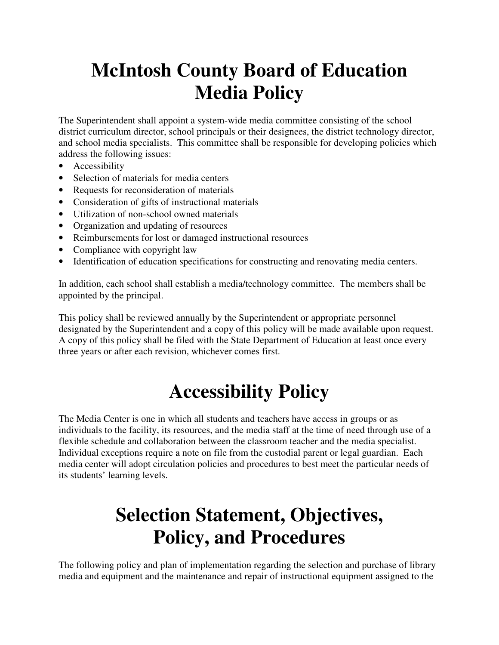# **McIntosh County Board of Education Media Policy**

The Superintendent shall appoint a system-wide media committee consisting of the school district curriculum director, school principals or their designees, the district technology director, and school media specialists. This committee shall be responsible for developing policies which address the following issues:

- Accessibility
- Selection of materials for media centers
- Requests for reconsideration of materials
- Consideration of gifts of instructional materials
- Utilization of non-school owned materials
- Organization and updating of resources
- Reimbursements for lost or damaged instructional resources
- Compliance with copyright law
- Identification of education specifications for constructing and renovating media centers.

In addition, each school shall establish a media/technology committee. The members shall be appointed by the principal.

This policy shall be reviewed annually by the Superintendent or appropriate personnel designated by the Superintendent and a copy of this policy will be made available upon request. A copy of this policy shall be filed with the State Department of Education at least once every three years or after each revision, whichever comes first.

# **Accessibility Policy**

The Media Center is one in which all students and teachers have access in groups or as individuals to the facility, its resources, and the media staff at the time of need through use of a flexible schedule and collaboration between the classroom teacher and the media specialist. Individual exceptions require a note on file from the custodial parent or legal guardian. Each media center will adopt circulation policies and procedures to best meet the particular needs of its students' learning levels.

# **Selection Statement, Objectives, Policy, and Procedures**

The following policy and plan of implementation regarding the selection and purchase of library media and equipment and the maintenance and repair of instructional equipment assigned to the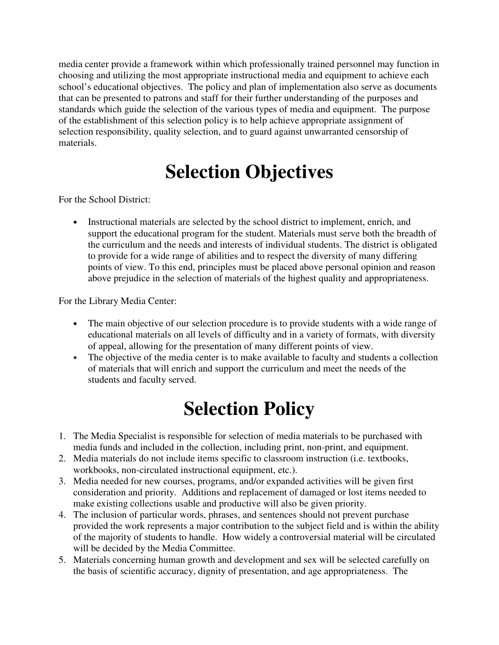media center provide a framework within which professionally trained personnel may function in choosing and utilizing the most appropriate instructional media and equipment to achieve each school's educational objectives. The policy and plan of implementation also serve as documents that can be presented to patrons and staff for their further understanding of the purposes and standards which guide the selection of the various types of media and equipment. The purpose of the establishment of this selection policy is to help achieve appropriate assignment of selection responsibility, quality selection, and to guard against unwarranted censorship of materials.

# **Selection Objectives**

For the School District:

• Instructional materials are selected by the school district to implement, enrich, and support the educational program for the student. Materials must serve both the breadth of the curriculum and the needs and interests of individual students. The district is obligated to provide for a wide range of abilities and to respect the diversity of many differing points of view. To this end, principles must be placed above personal opinion and reason above prejudice in the selection of materials of the highest quality and appropriateness.

For the Library Media Center:

- The main objective of our selection procedure is to provide students with a wide range of educational materials on all levels of difficulty and in a variety of formats, with diversity of appeal, allowing for the presentation of many different points of view.
- The objective of the media center is to make available to faculty and students a collection of materials that will enrich and support the curriculum and meet the needs of the students and faculty served.

#### **Selection Policy**

- 1. The Media Specialist is responsible for selection of media materials to be purchased with media funds and included in the collection, including print, non-print, and equipment.
- 2. Media materials do not include items specific to classroom instruction (i.e. textbooks, workbooks, non-circulated instructional equipment, etc.).
- 3. Media needed for new courses, programs, and/or expanded activities will be given first consideration and priority. Additions and replacement of damaged or lost items needed to make existing collections usable and productive will also be given priority.
- 4. The inclusion of particular words, phrases, and sentences should not prevent purchase provided the work represents a major contribution to the subject field and is within the ability of the majority of students to handle. How widely a controversial material will be circulated will be decided by the Media Committee.
- 5. Materials concerning human growth and development and sex will be selected carefully on the basis of scientific accuracy, dignity of presentation, and age appropriateness. The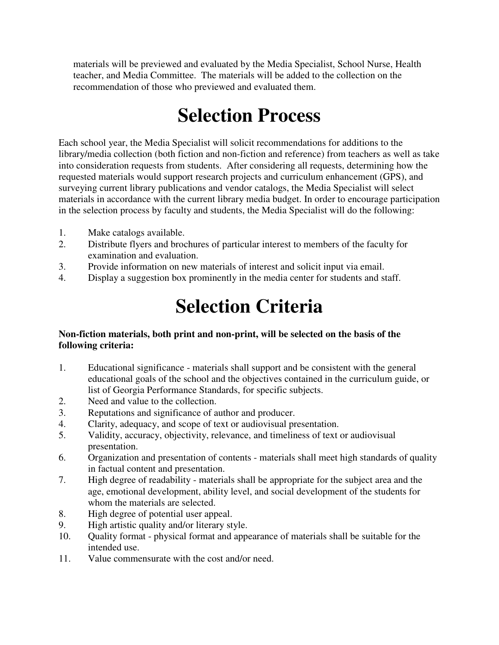materials will be previewed and evaluated by the Media Specialist, School Nurse, Health teacher, and Media Committee. The materials will be added to the collection on the recommendation of those who previewed and evaluated them.

### **Selection Process**

Each school year, the Media Specialist will solicit recommendations for additions to the library/media collection (both fiction and non-fiction and reference) from teachers as well as take into consideration requests from students. After considering all requests, determining how the requested materials would support research projects and curriculum enhancement (GPS), and surveying current library publications and vendor catalogs, the Media Specialist will select materials in accordance with the current library media budget. In order to encourage participation in the selection process by faculty and students, the Media Specialist will do the following:

- 1. Make catalogs available.
- 2. Distribute flyers and brochures of particular interest to members of the faculty for examination and evaluation.
- 3. Provide information on new materials of interest and solicit input via email.
- 4. Display a suggestion box prominently in the media center for students and staff.

### **Selection Criteria**

#### **Non-fiction materials, both print and non-print, will be selected on the basis of the following criteria:**

- 1. Educational significance materials shall support and be consistent with the general educational goals of the school and the objectives contained in the curriculum guide, or list of Georgia Performance Standards, for specific subjects.
- 2. Need and value to the collection.
- 3. Reputations and significance of author and producer.
- 4. Clarity, adequacy, and scope of text or audiovisual presentation.
- 5. Validity, accuracy, objectivity, relevance, and timeliness of text or audiovisual presentation.
- 6. Organization and presentation of contents materials shall meet high standards of quality in factual content and presentation.
- 7. High degree of readability materials shall be appropriate for the subject area and the age, emotional development, ability level, and social development of the students for whom the materials are selected.
- 8. High degree of potential user appeal.
- 9. High artistic quality and/or literary style.
- 10. Quality format physical format and appearance of materials shall be suitable for the intended use.
- 11. Value commensurate with the cost and/or need.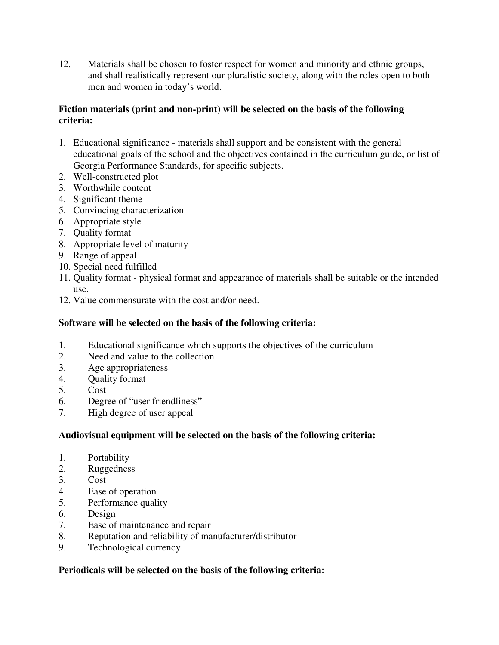12. Materials shall be chosen to foster respect for women and minority and ethnic groups, and shall realistically represent our pluralistic society, along with the roles open to both men and women in today's world.

#### **Fiction materials (print and non-print) will be selected on the basis of the following criteria:**

- 1. Educational significance materials shall support and be consistent with the general educational goals of the school and the objectives contained in the curriculum guide, or list of Georgia Performance Standards, for specific subjects.
- 2. Well-constructed plot
- 3. Worthwhile content
- 4. Significant theme
- 5. Convincing characterization
- 6. Appropriate style
- 7. Quality format
- 8. Appropriate level of maturity
- 9. Range of appeal
- 10. Special need fulfilled
- 11. Quality format physical format and appearance of materials shall be suitable or the intended use.
- 12. Value commensurate with the cost and/or need.

#### **Software will be selected on the basis of the following criteria:**

- 1. Educational significance which supports the objectives of the curriculum
- 2. Need and value to the collection
- 3. Age appropriateness
- 4. Quality format
- 5. Cost
- 6. Degree of "user friendliness"
- 7. High degree of user appeal

#### **Audiovisual equipment will be selected on the basis of the following criteria:**

- 1. Portability
- 2. Ruggedness
- 3. Cost
- 4. Ease of operation
- 5. Performance quality
- 6. Design
- 7. Ease of maintenance and repair
- 8. Reputation and reliability of manufacturer/distributor
- 9. Technological currency

#### **Periodicals will be selected on the basis of the following criteria:**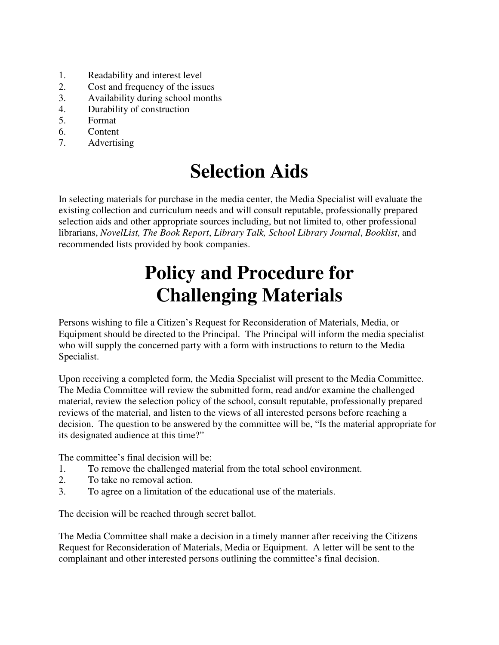- 1. Readability and interest level
- 2. Cost and frequency of the issues
- 3. Availability during school months
- 4. Durability of construction
- 5. Format
- 6. Content
- 7. Advertising

### **Selection Aids**

In selecting materials for purchase in the media center, the Media Specialist will evaluate the existing collection and curriculum needs and will consult reputable, professionally prepared selection aids and other appropriate sources including, but not limited to, other professional librarians, *NovelList, The Book Report*, *Library Talk, School Library Journal*, *Booklist*, and recommended lists provided by book companies.

### **Policy and Procedure for Challenging Materials**

Persons wishing to file a Citizen's Request for Reconsideration of Materials, Media, or Equipment should be directed to the Principal. The Principal will inform the media specialist who will supply the concerned party with a form with instructions to return to the Media Specialist.

Upon receiving a completed form, the Media Specialist will present to the Media Committee. The Media Committee will review the submitted form, read and/or examine the challenged material, review the selection policy of the school, consult reputable, professionally prepared reviews of the material, and listen to the views of all interested persons before reaching a decision. The question to be answered by the committee will be, "Is the material appropriate for its designated audience at this time?"

The committee's final decision will be:

- 1. To remove the challenged material from the total school environment.
- 2. To take no removal action.
- 3. To agree on a limitation of the educational use of the materials.

The decision will be reached through secret ballot.

The Media Committee shall make a decision in a timely manner after receiving the Citizens Request for Reconsideration of Materials, Media or Equipment. A letter will be sent to the complainant and other interested persons outlining the committee's final decision.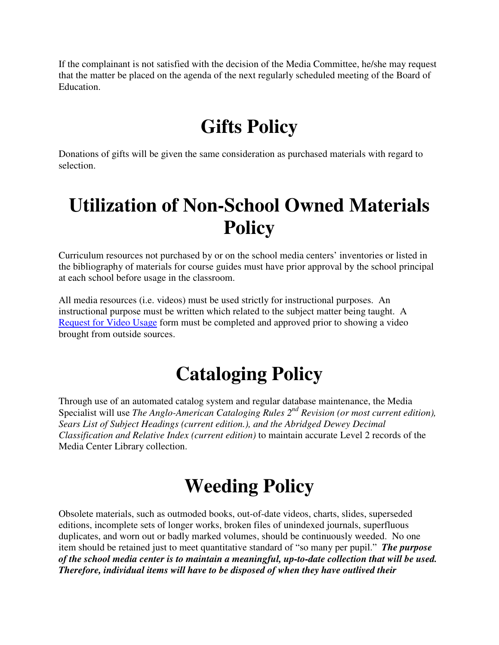If the complainant is not satisfied with the decision of the Media Committee, he/she may request that the matter be placed on the agenda of the next regularly scheduled meeting of the Board of Education.

### **Gifts Policy**

Donations of gifts will be given the same consideration as purchased materials with regard to selection.

### **Utilization of Non-School Owned Materials Policy**

Curriculum resources not purchased by or on the school media centers' inventories or listed in the bibliography of materials for course guides must have prior approval by the school principal at each school before usage in the classroom.

All media resources (i.e. videos) must be used strictly for instructional purposes. An instructional purpose must be written which related to the subject matter being taught. A Request for Video Usage form must be completed and approved prior to showing a video brought from outside sources.

# **Cataloging Policy**

Through use of an automated catalog system and regular database maintenance, the Media Specialist will use *The Anglo-American Cataloging Rules 2nd Revision (or most current edition), Sears List of Subject Headings (current edition.), and the Abridged Dewey Decimal Classification and Relative Index (current edition)* to maintain accurate Level 2 records of the Media Center Library collection.

# **Weeding Policy**

Obsolete materials, such as outmoded books, out-of-date videos, charts, slides, superseded editions, incomplete sets of longer works, broken files of unindexed journals, superfluous duplicates, and worn out or badly marked volumes, should be continuously weeded. No one item should be retained just to meet quantitative standard of "so many per pupil." *The purpose of the school media center is to maintain a meaningful, up-to-date collection that will be used. Therefore, individual items will have to be disposed of when they have outlived their*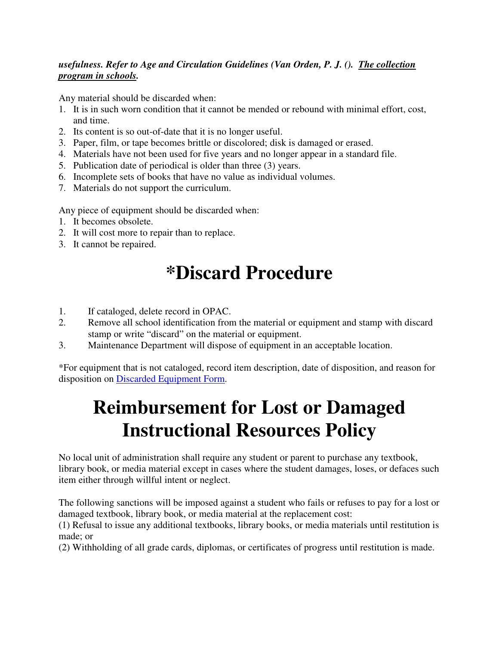#### *usefulness. Refer to Age and Circulation Guidelines (Van Orden, P. J. (). The collection program in schools.*

Any material should be discarded when:

- 1. It is in such worn condition that it cannot be mended or rebound with minimal effort, cost, and time.
- 2. Its content is so out-of-date that it is no longer useful.
- 3. Paper, film, or tape becomes brittle or discolored; disk is damaged or erased.
- 4. Materials have not been used for five years and no longer appear in a standard file.
- 5. Publication date of periodical is older than three (3) years.
- 6. Incomplete sets of books that have no value as individual volumes.
- 7. Materials do not support the curriculum.

Any piece of equipment should be discarded when:

- 1. It becomes obsolete.
- 2. It will cost more to repair than to replace.
- 3. It cannot be repaired.

### **\*Discard Procedure**

- 1. If cataloged, delete record in OPAC.
- 2. Remove all school identification from the material or equipment and stamp with discard stamp or write "discard" on the material or equipment.
- 3. Maintenance Department will dispose of equipment in an acceptable location.

\*For equipment that is not cataloged, record item description, date of disposition, and reason for disposition on Discarded Equipment Form.

# **Reimbursement for Lost or Damaged Instructional Resources Policy**

No local unit of administration shall require any student or parent to purchase any textbook, library book, or media material except in cases where the student damages, loses, or defaces such item either through willful intent or neglect.

The following sanctions will be imposed against a student who fails or refuses to pay for a lost or damaged textbook, library book, or media material at the replacement cost:

(1) Refusal to issue any additional textbooks, library books, or media materials until restitution is made; or

(2) Withholding of all grade cards, diplomas, or certificates of progress until restitution is made.